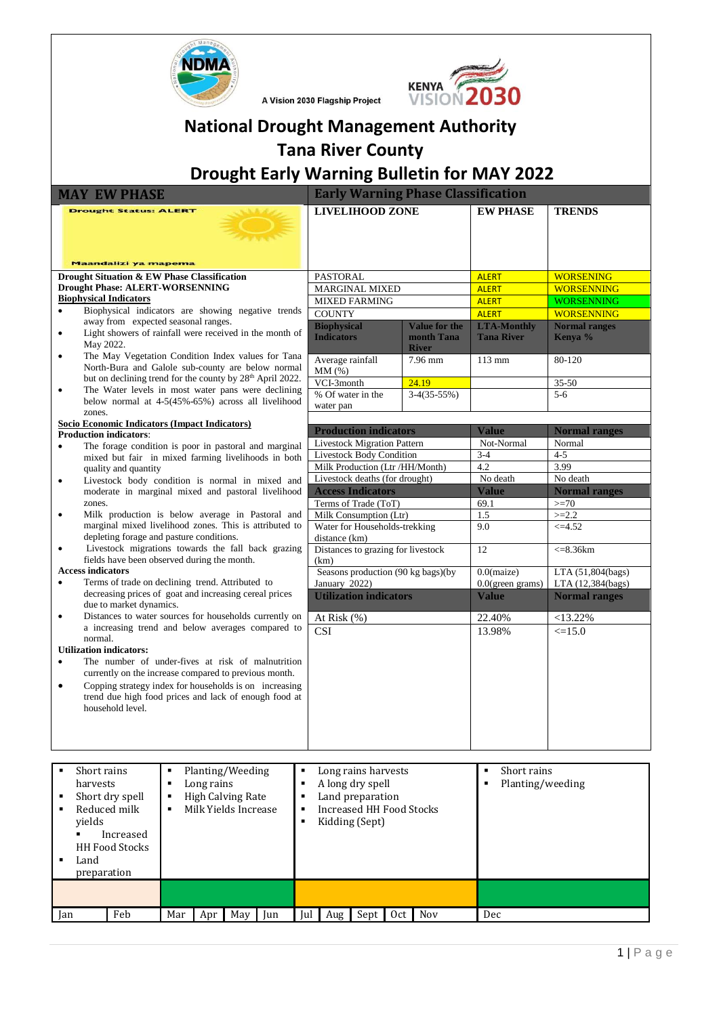

A Vision 2030 Flagship Project



# **National Drought Management Authority Tana River County**

# **Drought Early Warning Bulletin for MAY 2022**

|           | <b>MAY EW PHASE</b>                                                                                                                                                                                                                               |                | <b>Early Warning Phase Classification</b>      |                                                    |                                         |                                 |  |  |  |
|-----------|---------------------------------------------------------------------------------------------------------------------------------------------------------------------------------------------------------------------------------------------------|----------------|------------------------------------------------|----------------------------------------------------|-----------------------------------------|---------------------------------|--|--|--|
|           | <b>Drought Status: ALERT</b>                                                                                                                                                                                                                      |                | <b>LIVELIHOOD ZONE</b>                         |                                                    | <b>EW PHASE</b>                         | <b>TRENDS</b>                   |  |  |  |
|           | <b>Maandalizi ya mapema</b>                                                                                                                                                                                                                       |                |                                                |                                                    |                                         |                                 |  |  |  |
|           | Drought Situation & EW Phase Classification                                                                                                                                                                                                       |                | <b>PASTORAL</b>                                |                                                    | <b>ALERT</b>                            | <b>WORSENING</b>                |  |  |  |
|           | <b>Drought Phase: ALERT-WORSENNING</b>                                                                                                                                                                                                            |                | <b>MARGINAL MIXED</b>                          |                                                    | <b>ALERT</b>                            | <b>WORSENNING</b>               |  |  |  |
|           | <b>Biophysical Indicators</b>                                                                                                                                                                                                                     |                | <b>MIXED FARMING</b>                           |                                                    | <b>ALERT</b>                            | <b>WORSENNING</b>               |  |  |  |
| ٠         | Biophysical indicators are showing negative trends                                                                                                                                                                                                |                | <b>COUNTY</b>                                  |                                                    | <b>ALERT</b>                            | <b>WORSENNING</b>               |  |  |  |
| $\bullet$ | away from expected seasonal ranges.<br>Light showers of rainfall were received in the month of<br>May 2022.                                                                                                                                       |                | <b>Biophysical</b><br><b>Indicators</b>        | <b>Value for the</b><br>month Tana<br><b>River</b> | <b>LTA-Monthly</b><br><b>Tana River</b> | <b>Normal ranges</b><br>Kenya % |  |  |  |
| $\bullet$ | The May Vegetation Condition Index values for Tana<br>North-Bura and Galole sub-county are below normal                                                                                                                                           |                | Average rainfall<br>MM(%)                      | 7.96 mm                                            | 113 mm                                  | 80-120                          |  |  |  |
|           | but on declining trend for the county by 28 <sup>th</sup> April 2022.                                                                                                                                                                             |                | VCI-3month                                     | 24.19                                              |                                         | 35-50                           |  |  |  |
| ٠         | The Water levels in most water pans were declining<br>below normal at 4-5(45%-65%) across all livelihood<br>zones.                                                                                                                                |                | % Of water in the<br>water pan                 | $3-4(35-55%)$                                      |                                         | $5 - 6$                         |  |  |  |
|           | Socio Economic Indicators (Impact Indicators)                                                                                                                                                                                                     |                |                                                |                                                    |                                         |                                 |  |  |  |
|           | <b>Production indicators:</b>                                                                                                                                                                                                                     |                | <b>Production indicators</b>                   |                                                    | <b>Value</b>                            | <b>Normal ranges</b>            |  |  |  |
|           | The forage condition is poor in pastoral and marginal                                                                                                                                                                                             |                | <b>Livestock Migration Pattern</b>             |                                                    | Not-Normal                              | Normal                          |  |  |  |
|           | mixed but fair in mixed farming livelihoods in both                                                                                                                                                                                               |                | Livestock Body Condition                       |                                                    | $3-4$                                   | $4 - 5$                         |  |  |  |
|           | quality and quantity                                                                                                                                                                                                                              |                | Milk Production (Ltr /HH/Month)                |                                                    | 4.2                                     | 3.99                            |  |  |  |
| ٠         | Livestock body condition is normal in mixed and                                                                                                                                                                                                   |                | Livestock deaths (for drought)                 |                                                    | No death                                | No death                        |  |  |  |
|           | moderate in marginal mixed and pastoral livelihood                                                                                                                                                                                                |                | <b>Access Indicators</b>                       |                                                    | <b>Value</b>                            | <b>Normal ranges</b>            |  |  |  |
|           | zones.                                                                                                                                                                                                                                            |                | Terms of Trade (ToT)                           |                                                    | 69.1                                    | $>=70$                          |  |  |  |
| $\bullet$ | Milk production is below average in Pastoral and<br>marginal mixed livelihood zones. This is attributed to                                                                                                                                        |                | Milk Consumption (Ltr)                         |                                                    | 1.5                                     | $>=2.2$                         |  |  |  |
|           | depleting forage and pasture conditions.                                                                                                                                                                                                          |                | Water for Households-trekking<br>distance (km) |                                                    | 9.0                                     | $\leq 4.52$                     |  |  |  |
| $\bullet$ | Livestock migrations towards the fall back grazing<br>fields have been observed during the month.                                                                                                                                                 |                | Distances to grazing for livestock<br>(km)     |                                                    | 12                                      | $\leq 8.36$ km                  |  |  |  |
|           | <b>Access indicators</b>                                                                                                                                                                                                                          |                | Seasons production (90 kg bags)(by             |                                                    | $0.0$ (maize)                           | LTA (51,804(bags)               |  |  |  |
|           | Terms of trade on declining trend. Attributed to                                                                                                                                                                                                  |                | January 2022)                                  |                                                    | 0.0(green grams)                        | LTA (12,384(bags)               |  |  |  |
|           | decreasing prices of goat and increasing cereal prices<br>due to market dynamics.                                                                                                                                                                 |                | <b>Utilization indicators</b>                  |                                                    | <b>Value</b>                            | <b>Normal ranges</b>            |  |  |  |
| $\bullet$ | Distances to water sources for households currently on                                                                                                                                                                                            |                | At Risk (%)                                    |                                                    | 22.40%                                  | $<13.22\%$                      |  |  |  |
|           | a increasing trend and below averages compared to<br>normal.                                                                                                                                                                                      |                | <b>CSI</b>                                     |                                                    | 13.98%                                  | $\leq 15.0$                     |  |  |  |
|           | <b>Utilization indicators:</b>                                                                                                                                                                                                                    |                |                                                |                                                    |                                         |                                 |  |  |  |
| ٠         | The number of under-fives at risk of malnutrition<br>currently on the increase compared to previous month.<br>Copping strategy index for households is on increasing<br>trend due high food prices and lack of enough food at<br>household level. |                |                                                |                                                    |                                         |                                 |  |  |  |
|           |                                                                                                                                                                                                                                                   |                |                                                |                                                    |                                         |                                 |  |  |  |
|           | Planting/Weeding<br>Short rains<br>٠                                                                                                                                                                                                              | $\blacksquare$ | Long rains harvests                            |                                                    | Short rains<br>$\blacksquare$           |                                 |  |  |  |

| Short rains<br>harvests<br>$\blacksquare$<br>п.<br>vields<br>Land<br>preparation | Short dry spell<br>Reduced milk<br>Increased<br><b>HH Food Stocks</b> | Е<br>п<br>п | Long rains | Planting/Weeding<br><b>High Calving Rate</b><br>Milk Yields Increase |     | ٠<br>٠<br>٠<br>٠ |       | Long rains harvests<br>A long dry spell<br>Land preparation<br>Increased HH Food Stocks<br>Kidding (Sept) |     |            | п<br>п | Short rains<br>Planting/weeding |
|----------------------------------------------------------------------------------|-----------------------------------------------------------------------|-------------|------------|----------------------------------------------------------------------|-----|------------------|-------|-----------------------------------------------------------------------------------------------------------|-----|------------|--------|---------------------------------|
|                                                                                  |                                                                       |             |            |                                                                      |     |                  |       |                                                                                                           |     |            |        |                                 |
| Jan                                                                              | Feb                                                                   | Mar         | Apr        | May                                                                  | Jun | Jul              | Aug - | Sept                                                                                                      | Oct | <b>Nov</b> | Dec    |                                 |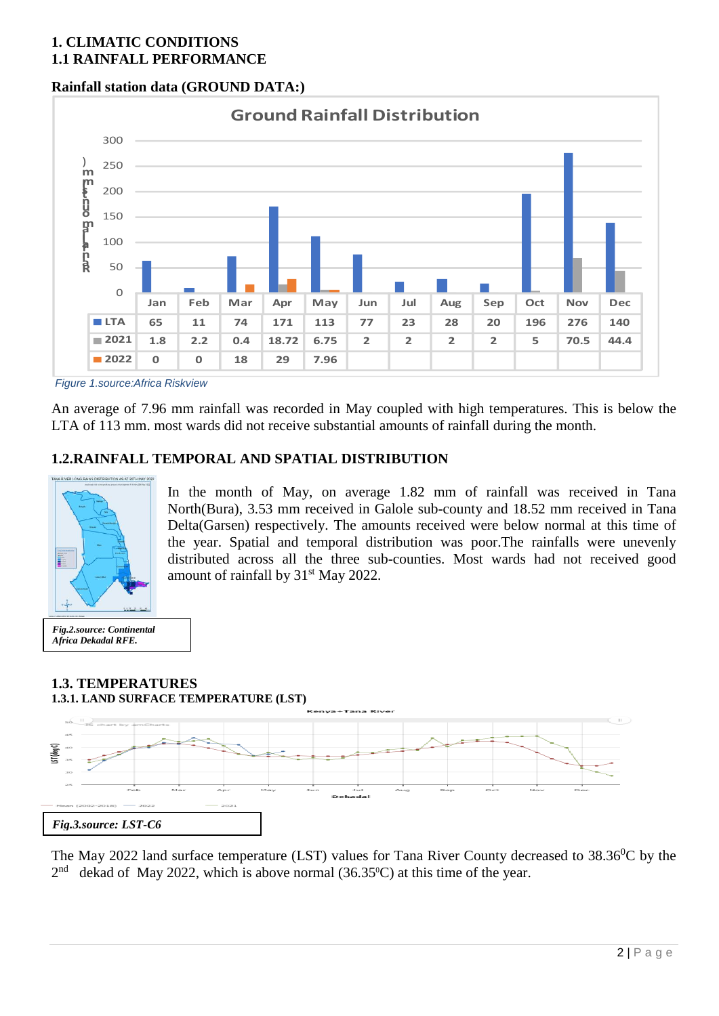# **1. CLIMATIC CONDITIONS 1.1 RAINFALL PERFORMANCE**

## **Rainfall station data (GROUND DATA:)**



*Figure 1.source:Africa Riskview*

An average of 7.96 mm rainfall was recorded in May coupled with high temperatures. This is below the LTA of 113 mm. most wards did not receive substantial amounts of rainfall during the month.

## **1.2.RAINFALL TEMPORAL AND SPATIAL DISTRIBUTION**



In the month of May, on average 1.82 mm of rainfall was received in Tana North(Bura), 3.53 mm received in Galole sub-county and 18.52 mm received in Tana Delta(Garsen) respectively. The amounts received were below normal at this time of the year. Spatial and temporal distribution was poor.The rainfalls were unevenly distributed across all the three sub-counties. Most wards had not received good amount of rainfall by 31<sup>st</sup> May 2022.

*Fig.2.source: Continental Africa Dekadal RFE.*

## **1.3. TEMPERATURES 1.3.1. LAND SURFACE TEMPERATURE (LST)**



The May 2022 land surface temperature (LST) values for Tana River County decreased to  $38.36^{\circ}$ C by the  $2<sup>nd</sup>$  dekad of May 2022, which is above normal (36.35°C) at this time of the year.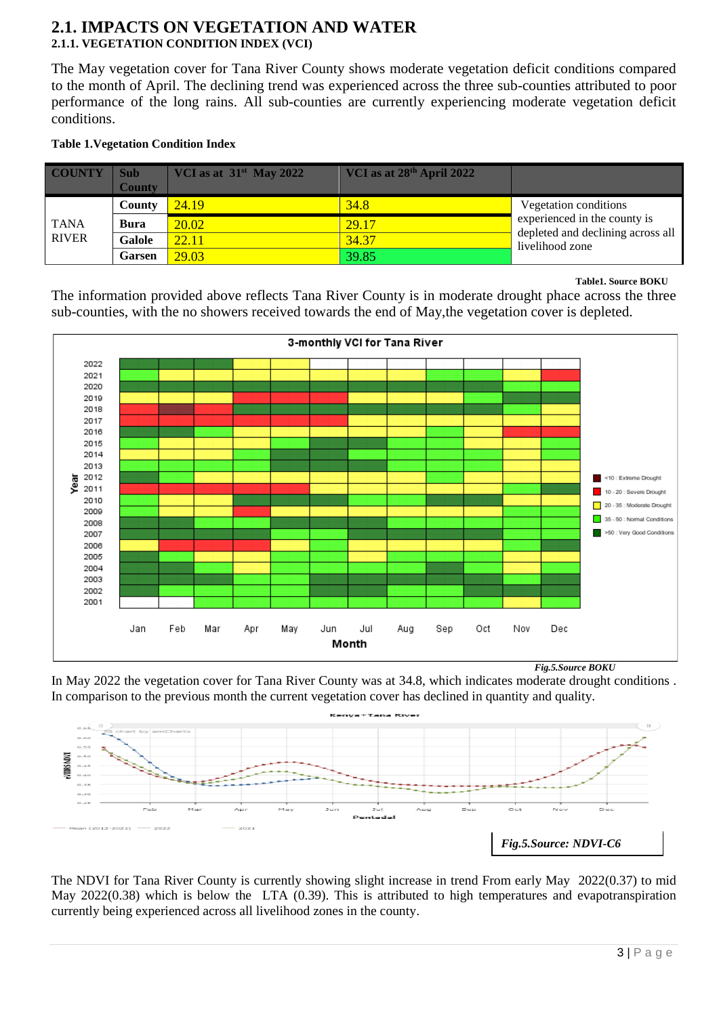### **2.1. IMPACTS ON VEGETATION AND WATER 2.1.1. VEGETATION CONDITION INDEX (VCI)**

The May vegetation cover for Tana River County shows moderate vegetation deficit conditions compared to the month of April. The declining trend was experienced across the three sub-counties attributed to poor performance of the long rains. All sub-counties are currently experiencing moderate vegetation deficit conditions.

#### **Table 1.Vegetation Condition Index**

| <b>COUNTY</b> | Sub<br><b>County</b> | VCI as at $31st$ May 2022 | VCI as at 28 <sup>th</sup> April 2022 |                                                      |
|---------------|----------------------|---------------------------|---------------------------------------|------------------------------------------------------|
|               | County               | 24.19                     | 34.8                                  | Vegetation conditions                                |
| <b>TANA</b>   | Bura                 | 20.02                     | 29.17                                 | experienced in the county is                         |
| <b>RIVER</b>  | Galole               | 22.11                     | 34.37                                 | depleted and declining across all<br>livelihood zone |
|               | <b>Garsen</b>        | 29.03                     | 39.85                                 |                                                      |

**Table1. Source BOKU** 

The information provided above reflects Tana River County is in moderate drought phace across the three sub-counties, with the no showers received towards the end of May,the vegetation cover is depleted.



In May 2022 the vegetation cover for Tana River County was at 34.8, which indicates moderate drought conditions . In comparison to the previous month the current vegetation cover has declined in quantity and quality.



The NDVI for Tana River County is currently showing slight increase in trend From early May 2022(0.37) to mid May 2022(0.38) which is below the LTA (0.39). This is attributed to high temperatures and evapotranspiration currently being experienced across all livelihood zones in the county.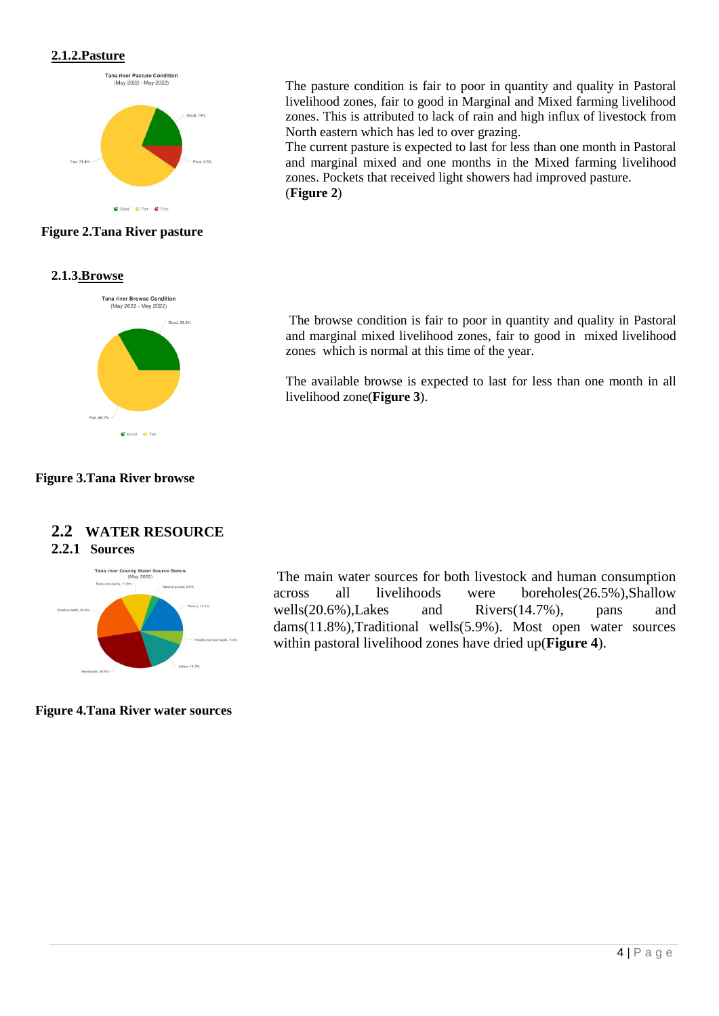#### **2.1.2.Pasture**



#### **Figure 2.Tana River pasture**

#### **2.1.3.Browse**



#### **Figure 3.Tana River browse**

### **2.2 WATER RESOURCE 2.2.1 Sources**



**Figure 4.Tana River water sources**

The pasture condition is fair to poor in quantity and quality in Pastoral livelihood zones, fair to good in Marginal and Mixed farming livelihood zones. This is attributed to lack of rain and high influx of livestock from North eastern which has led to over grazing.

The current pasture is expected to last for less than one month in Pastoral and marginal mixed and one months in the Mixed farming livelihood zones. Pockets that received light showers had improved pasture. (**Figure 2**)

The browse condition is fair to poor in quantity and quality in Pastoral and marginal mixed livelihood zones, fair to good in mixed livelihood zones which is normal at this time of the year.

The available browse is expected to last for less than one month in all livelihood zone(**Figure 3**).

The main water sources for both livestock and human consumption across all livelihoods were boreholes(26.5%),Shallow wells(20.6%),Lakes and Rivers(14.7%), pans and dams(11.8%),Traditional wells(5.9%). Most open water sources within pastoral livelihood zones have dried up(**Figure 4**).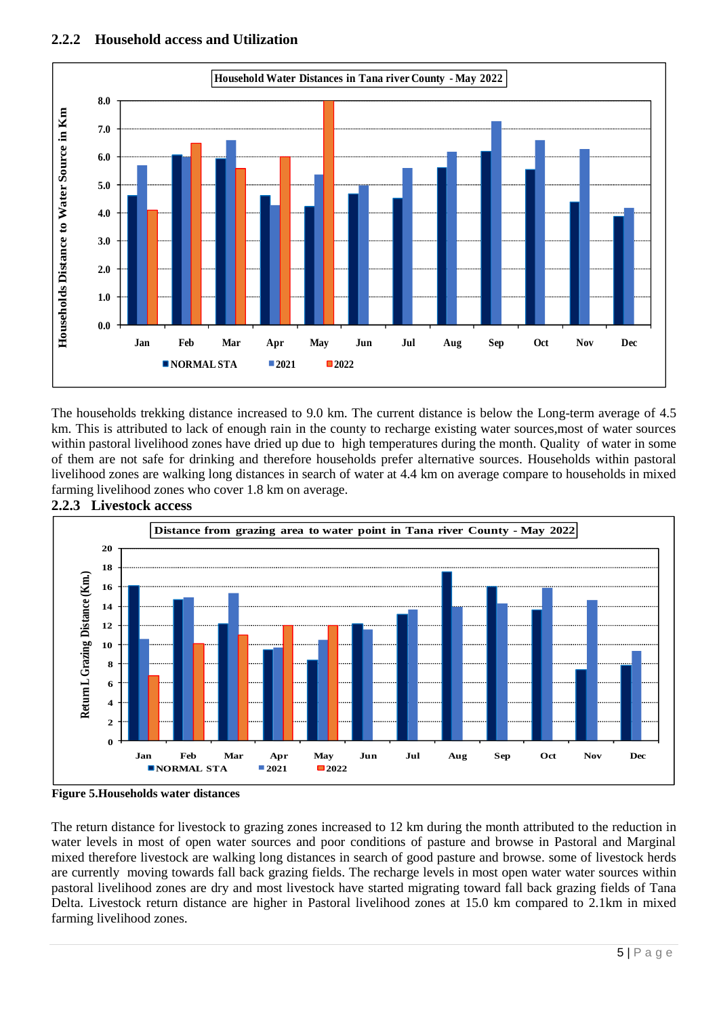

The households trekking distance increased to 9.0 km. The current distance is below the Long-term average of 4.5 km. This is attributed to lack of enough rain in the county to recharge existing water sources,most of water sources within pastoral livelihood zones have dried up due to high temperatures during the month. Quality of water in some of them are not safe for drinking and therefore households prefer alternative sources. Households within pastoral livelihood zones are walking long distances in search of water at 4.4 km on average compare to households in mixed farming livelihood zones who cover 1.8 km on average.



**2.2.3 Livestock access**

**Figure 5.Households water distances**

The return distance for livestock to grazing zones increased to 12 km during the month attributed to the reduction in water levels in most of open water sources and poor conditions of pasture and browse in Pastoral and Marginal mixed therefore livestock are walking long distances in search of good pasture and browse. some of livestock herds are currently moving towards fall back grazing fields. The recharge levels in most open water water sources within pastoral livelihood zones are dry and most livestock have started migrating toward fall back grazing fields of Tana Delta. Livestock return distance are higher in Pastoral livelihood zones at 15.0 km compared to 2.1km in mixed farming livelihood zones.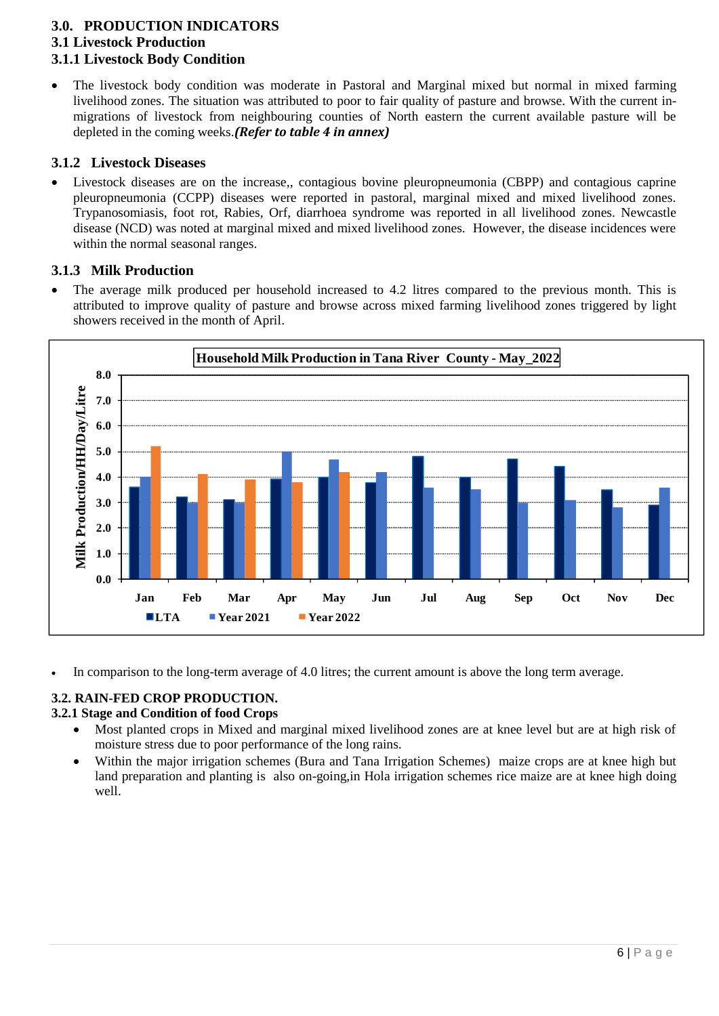### **3.0. PRODUCTION INDICATORS 3.1 Livestock Production 3.1.1 Livestock Body Condition**

• The livestock body condition was moderate in Pastoral and Marginal mixed but normal in mixed farming livelihood zones. The situation was attributed to poor to fair quality of pasture and browse. With the current inmigrations of livestock from neighbouring counties of North eastern the current available pasture will be depleted in the coming weeks.*(Refer to table 4 in annex)*

## **3.1.2 Livestock Diseases**

• Livestock diseases are on the increase,, contagious bovine pleuropneumonia (CBPP) and contagious caprine pleuropneumonia (CCPP) diseases were reported in pastoral, marginal mixed and mixed livelihood zones. Trypanosomiasis, foot rot, Rabies, Orf, diarrhoea syndrome was reported in all livelihood zones. Newcastle disease (NCD) was noted at marginal mixed and mixed livelihood zones. However, the disease incidences were within the normal seasonal ranges.

### **3.1.3 Milk Production**

• The average milk produced per household increased to 4.2 litres compared to the previous month. This is attributed to improve quality of pasture and browse across mixed farming livelihood zones triggered by light showers received in the month of April.



• In comparison to the long-term average of 4.0 litres; the current amount is above the long term average.

## **3.2. RAIN-FED CROP PRODUCTION.**

#### **3.2.1 Stage and Condition of food Crops**

- Most planted crops in Mixed and marginal mixed livelihood zones are at knee level but are at high risk of moisture stress due to poor performance of the long rains.
- Within the major irrigation schemes (Bura and Tana Irrigation Schemes) maize crops are at knee high but land preparation and planting is also on-going,in Hola irrigation schemes rice maize are at knee high doing well.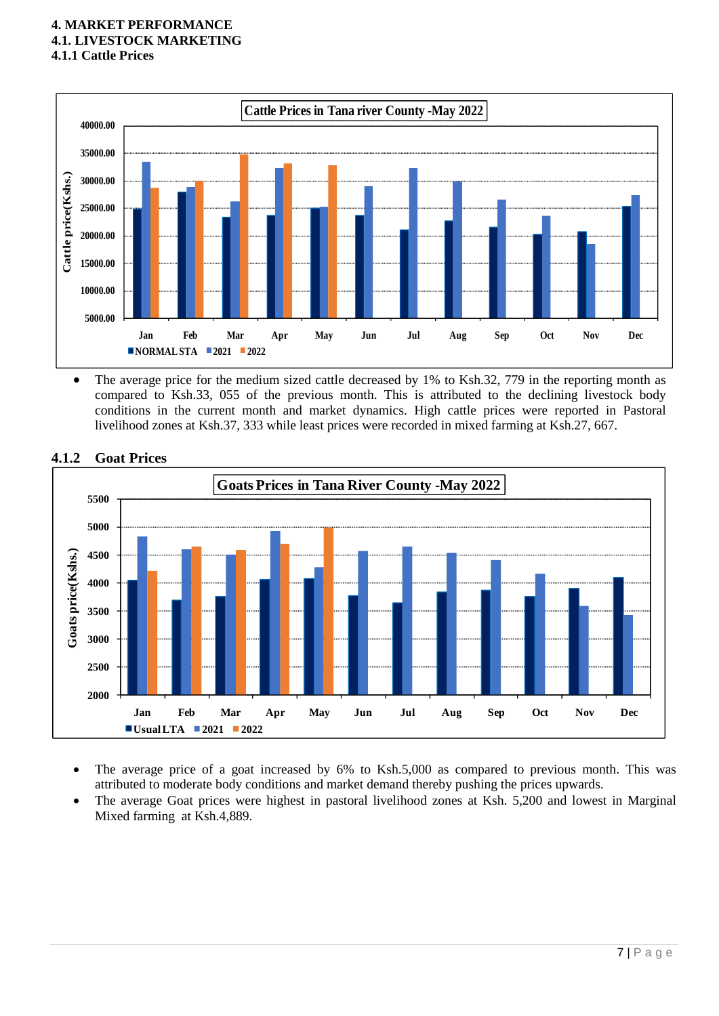#### **4. MARKET PERFORMANCE 4.1. LIVESTOCK MARKETING 4.1.1 Cattle Prices**



• The average price for the medium sized cattle decreased by 1% to Ksh.32, 779 in the reporting month as compared to Ksh.33, 055 of the previous month. This is attributed to the declining livestock body conditions in the current month and market dynamics. High cattle prices were reported in Pastoral livelihood zones at Ksh.37, 333 while least prices were recorded in mixed farming at Ksh.27, 667.



#### **4.1.2 Goat Prices**

- The average price of a goat increased by 6% to Ksh.5,000 as compared to previous month. This was attributed to moderate body conditions and market demand thereby pushing the prices upwards.
- The average Goat prices were highest in pastoral livelihood zones at Ksh. 5,200 and lowest in Marginal Mixed farming at Ksh.4,889.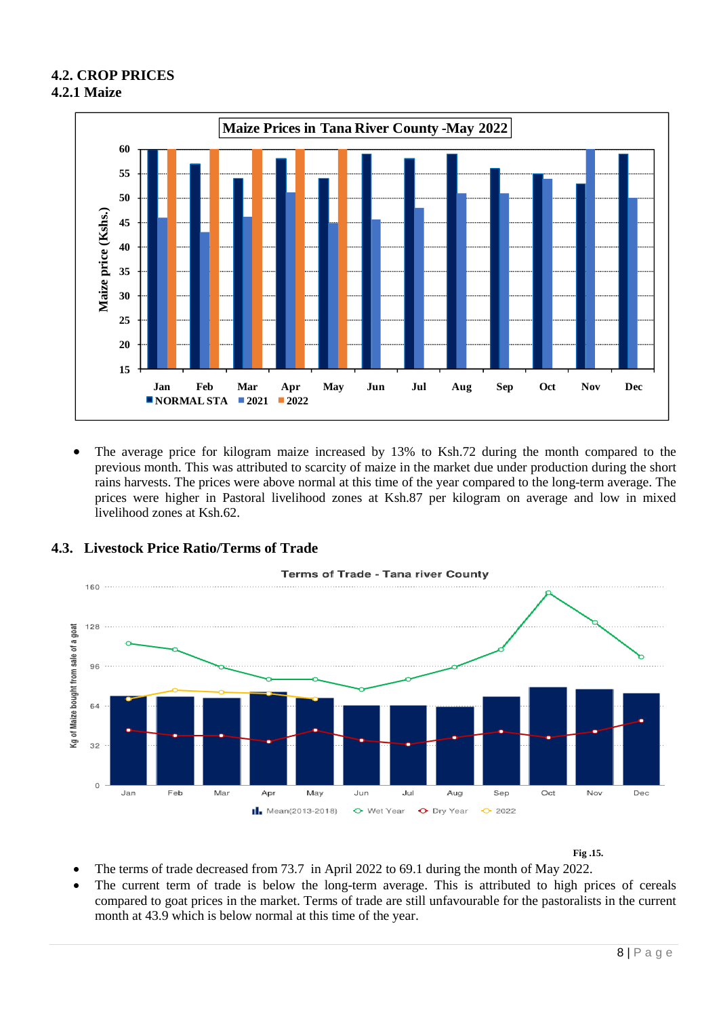## **4.2. CROP PRICES 4.2.1 Maize**



• The average price for kilogram maize increased by 13% to Ksh.72 during the month compared to the previous month. This was attributed to scarcity of maize in the market due under production during the short rains harvests. The prices were above normal at this time of the year compared to the long-term average. The prices were higher in Pastoral livelihood zones at Ksh.87 per kilogram on average and low in mixed livelihood zones at Ksh.62.



## **4.3. Livestock Price Ratio/Terms of Trade**

**Fig .15.**

- The terms of trade decreased from 73.7 in April 2022 to 69.1 during the month of May 2022.
- The current term of trade is below the long-term average. This is attributed to high prices of cereals compared to goat prices in the market. Terms of trade are still unfavourable for the pastoralists in the current month at 43.9 which is below normal at this time of the year.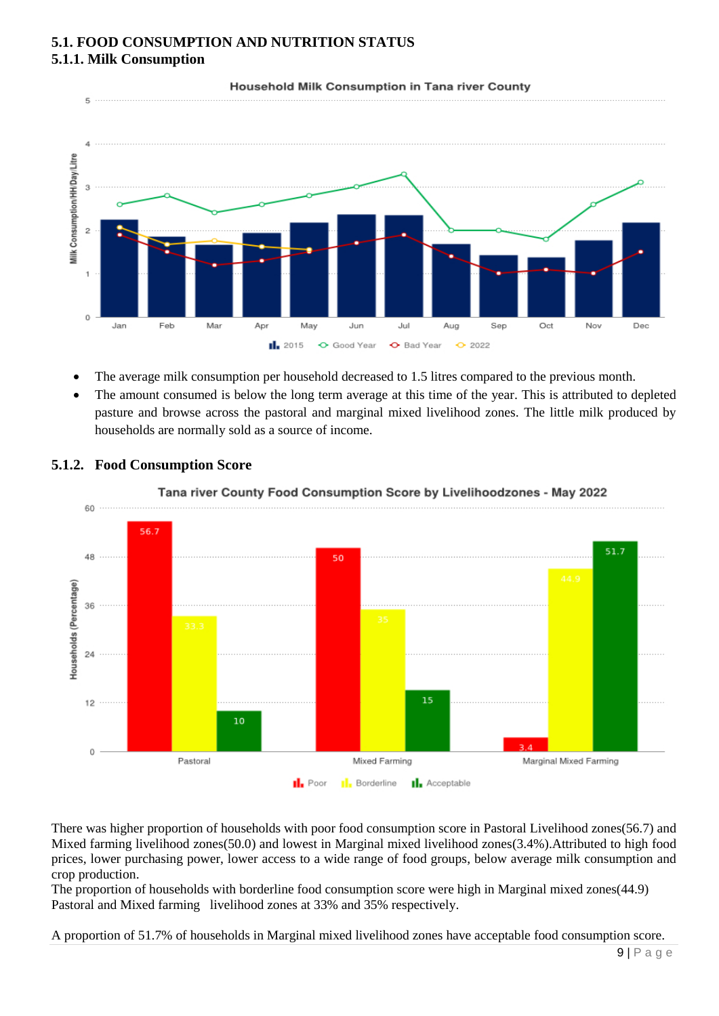## **5.1. FOOD CONSUMPTION AND NUTRITION STATUS 5.1.1. Milk Consumption**



Household Milk Consumption in Tana river County

- The average milk consumption per household decreased to 1.5 litres compared to the previous month.
- The amount consumed is below the long term average at this time of the year. This is attributed to depleted pasture and browse across the pastoral and marginal mixed livelihood zones. The little milk produced by households are normally sold as a source of income.



### **5.1.2. Food Consumption Score**



There was higher proportion of households with poor food consumption score in Pastoral Livelihood zones(56.7) and Mixed farming livelihood zones(50.0) and lowest in Marginal mixed livelihood zones(3.4%).Attributed to high food prices, lower purchasing power, lower access to a wide range of food groups, below average milk consumption and crop production.

The proportion of households with borderline food consumption score were high in Marginal mixed zones(44.9) Pastoral and Mixed farming livelihood zones at 33% and 35% respectively.

A proportion of 51.7% of households in Marginal mixed livelihood zones have acceptable food consumption score.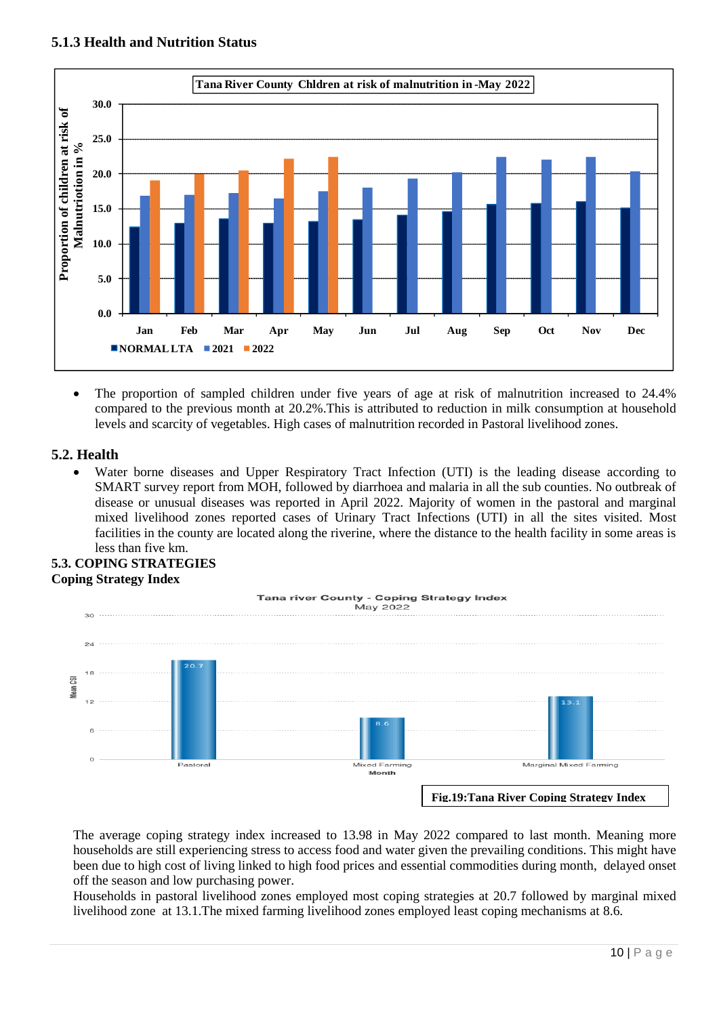

• The proportion of sampled children under five years of age at risk of malnutrition increased to 24.4% compared to the previous month at 20.2%.This is attributed to reduction in milk consumption at household levels and scarcity of vegetables. High cases of malnutrition recorded in Pastoral livelihood zones.

## **5.2. Health**

• Water borne diseases and Upper Respiratory Tract Infection (UTI) is the leading disease according to SMART survey report from MOH, followed by diarrhoea and malaria in all the sub counties. No outbreak of disease or unusual diseases was reported in April 2022. Majority of women in the pastoral and marginal mixed livelihood zones reported cases of Urinary Tract Infections (UTI) in all the sites visited. Most facilities in the county are located along the riverine, where the distance to the health facility in some areas is less than five km.

### **5.3. COPING STRATEGIES Coping Strategy Index**



The average coping strategy index increased to 13.98 in May 2022 compared to last month. Meaning more households are still experiencing stress to access food and water given the prevailing conditions. This might have been due to high cost of living linked to high food prices and essential commodities during month, delayed onset off the season and low purchasing power.

Households in pastoral livelihood zones employed most coping strategies at 20.7 followed by marginal mixed livelihood zone at 13.1.The mixed farming livelihood zones employed least coping mechanisms at 8.6.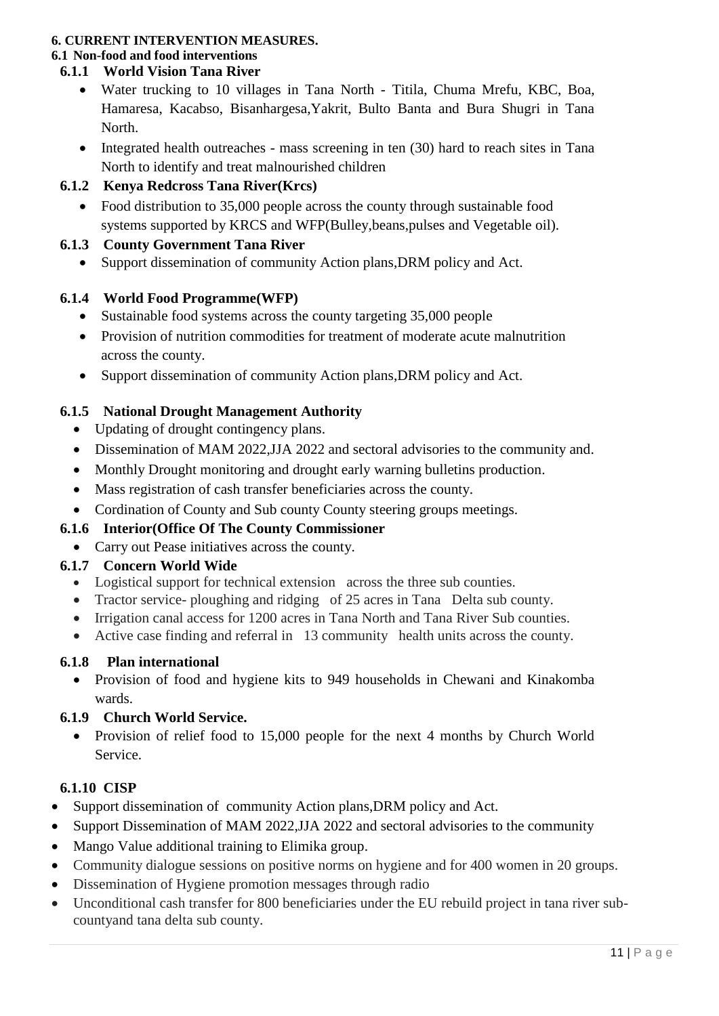## **6. CURRENT INTERVENTION MEASURES.**

## **6.1 Non-food and food interventions**

## **6.1.1 World Vision Tana River**

- Water trucking to 10 villages in Tana North Titila, Chuma Mrefu, KBC, Boa, Hamaresa, Kacabso, Bisanhargesa,Yakrit, Bulto Banta and Bura Shugri in Tana North.
- Integrated health outreaches mass screening in ten (30) hard to reach sites in Tana North to identify and treat malnourished children

## **6.1.2 Kenya Redcross Tana River(Krcs)**

• Food distribution to 35,000 people across the county through sustainable food systems supported by KRCS and WFP(Bulley,beans,pulses and Vegetable oil).

## **6.1.3 County Government Tana River**

• Support dissemination of community Action plans, DRM policy and Act.

## **6.1.4 World Food Programme(WFP)**

- Sustainable food systems across the county targeting 35,000 people
- Provision of nutrition commodities for treatment of moderate acute malnutrition across the county.
- Support dissemination of community Action plans, DRM policy and Act.

## **6.1.5 National Drought Management Authority**

- Updating of drought contingency plans.
- Dissemination of MAM 2022,JJA 2022 and sectoral advisories to the community and.
- Monthly Drought monitoring and drought early warning bulletins production.
- Mass registration of cash transfer beneficiaries across the county.
- Cordination of County and Sub county County steering groups meetings.

## **6.1.6 Interior(Office Of The County Commissioner**

• Carry out Pease initiatives across the county.

## **6.1.7 Concern World Wide**

- Logistical support for technical extension across the three sub counties.
- Tractor service- ploughing and ridging of 25 acres in Tana Delta sub county.
- Irrigation canal access for 1200 acres in Tana North and Tana River Sub counties.
- Active case finding and referral in 13 community health units across the county.

## **6.1.8 Plan international**

• Provision of food and hygiene kits to 949 households in Chewani and Kinakomba wards.

## **6.1.9 Church World Service.**

• Provision of relief food to 15,000 people for the next 4 months by Church World Service.

## **6.1.10 CISP**

- Support dissemination of community Action plans, DRM policy and Act.
- Support Dissemination of MAM 2022, JJA 2022 and sectoral advisories to the community
- Mango Value additional training to Elimika group.
- Community dialogue sessions on positive norms on hygiene and for 400 women in 20 groups.
- Dissemination of Hygiene promotion messages through radio
- Unconditional cash transfer for 800 beneficiaries under the EU rebuild project in tana river subcountyand tana delta sub county.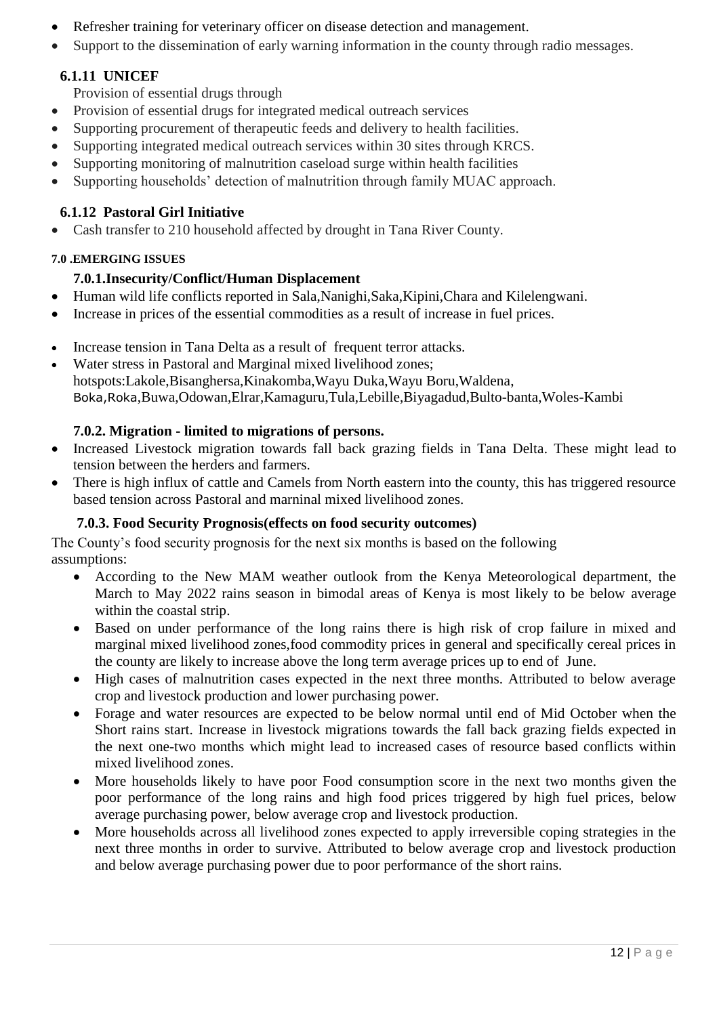- Refresher training for veterinary officer on disease detection and management.
- Support to the dissemination of early warning information in the county through radio messages.

# **6.1.11 UNICEF**

Provision of essential drugs through

- Provision of essential drugs for integrated medical outreach services
- Supporting procurement of therapeutic feeds and delivery to health facilities.
- Supporting integrated medical outreach services within 30 sites through KRCS.
- Supporting monitoring of malnutrition caseload surge within health facilities
- Supporting households' detection of malnutrition through family MUAC approach.

# **6.1.12 Pastoral Girl Initiative**

• Cash transfer to 210 household affected by drought in Tana River County.

## **7.0 .EMERGING ISSUES**

# **7.0.1.Insecurity/Conflict/Human Displacement**

- Human wild life conflicts reported in Sala,Nanighi,Saka,Kipini,Chara and Kilelengwani.
- Increase in prices of the essential commodities as a result of increase in fuel prices.
- Increase tension in Tana Delta as a result of frequent terror attacks.
- Water stress in Pastoral and Marginal mixed livelihood zones; hotspots:Lakole,Bisanghersa,Kinakomba,Wayu Duka,Wayu Boru,Waldena, Boka,Roka,Buwa,Odowan,Elrar,Kamaguru,Tula,Lebille,Biyagadud,Bulto-banta,Woles-Kambi

# **7.0.2. Migration - limited to migrations of persons.**

- Increased Livestock migration towards fall back grazing fields in Tana Delta. These might lead to tension between the herders and farmers.
- There is high influx of cattle and Camels from North eastern into the county, this has triggered resource based tension across Pastoral and marninal mixed livelihood zones.

# **7.0.3. Food Security Prognosis(effects on food security outcomes)**

The County's food security prognosis for the next six months is based on the following assumptions:

- According to the New MAM weather outlook from the Kenya Meteorological department, the March to May 2022 rains season in bimodal areas of Kenya is most likely to be below average within the coastal strip.
- Based on under performance of the long rains there is high risk of crop failure in mixed and marginal mixed livelihood zones,food commodity prices in general and specifically cereal prices in the county are likely to increase above the long term average prices up to end of June.
- High cases of malnutrition cases expected in the next three months. Attributed to below average crop and livestock production and lower purchasing power.
- Forage and water resources are expected to be below normal until end of Mid October when the Short rains start. Increase in livestock migrations towards the fall back grazing fields expected in the next one-two months which might lead to increased cases of resource based conflicts within mixed livelihood zones.
- More households likely to have poor Food consumption score in the next two months given the poor performance of the long rains and high food prices triggered by high fuel prices, below average purchasing power, below average crop and livestock production.
- More households across all livelihood zones expected to apply irreversible coping strategies in the next three months in order to survive. Attributed to below average crop and livestock production and below average purchasing power due to poor performance of the short rains.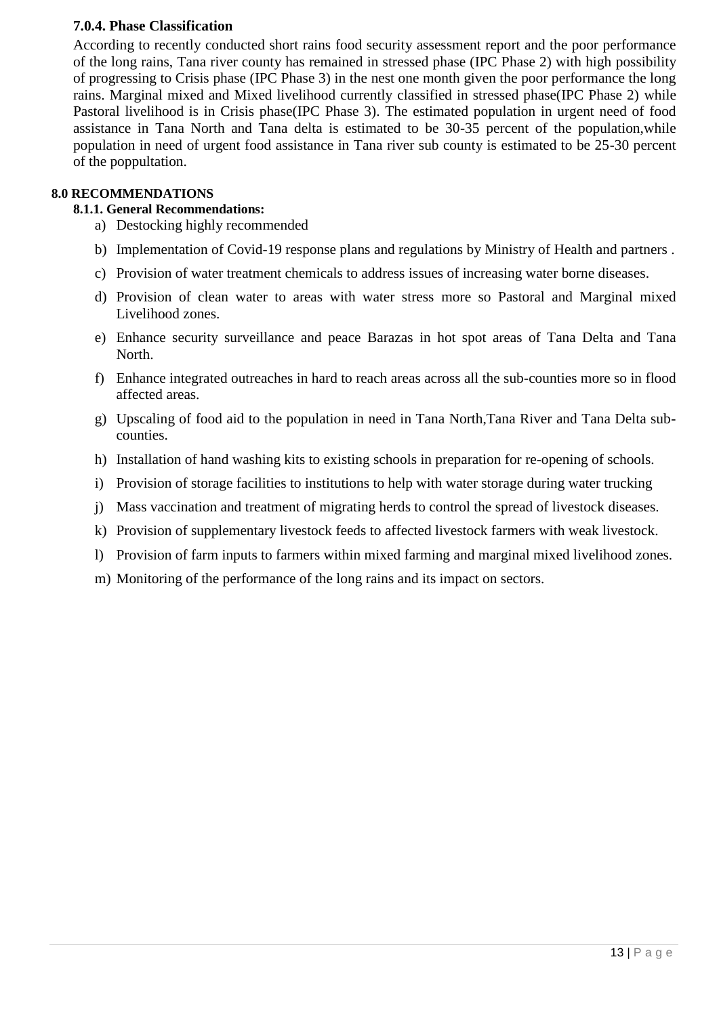## **7.0.4. Phase Classification**

According to recently conducted short rains food security assessment report and the poor performance of the long rains, Tana river county has remained in stressed phase (IPC Phase 2) with high possibility of progressing to Crisis phase (IPC Phase 3) in the nest one month given the poor performance the long rains. Marginal mixed and Mixed livelihood currently classified in stressed phase(IPC Phase 2) while Pastoral livelihood is in Crisis phase(IPC Phase 3). The estimated population in urgent need of food assistance in Tana North and Tana delta is estimated to be 30-35 percent of the population,while population in need of urgent food assistance in Tana river sub county is estimated to be 25-30 percent of the poppultation.

### **8.0 RECOMMENDATIONS**

## **8.1.1. General Recommendations:**

- a) Destocking highly recommended
- b) Implementation of Covid-19 response plans and regulations by Ministry of Health and partners .
- c) Provision of water treatment chemicals to address issues of increasing water borne diseases.
- d) Provision of clean water to areas with water stress more so Pastoral and Marginal mixed Livelihood zones.
- e) Enhance security surveillance and peace Barazas in hot spot areas of Tana Delta and Tana North.
- f) Enhance integrated outreaches in hard to reach areas across all the sub-counties more so in flood affected areas.
- g) Upscaling of food aid to the population in need in Tana North,Tana River and Tana Delta subcounties.
- h) Installation of hand washing kits to existing schools in preparation for re-opening of schools.
- i) Provision of storage facilities to institutions to help with water storage during water trucking
- j) Mass vaccination and treatment of migrating herds to control the spread of livestock diseases.
- k) Provision of supplementary livestock feeds to affected livestock farmers with weak livestock.
- l) Provision of farm inputs to farmers within mixed farming and marginal mixed livelihood zones.
- m) Monitoring of the performance of the long rains and its impact on sectors.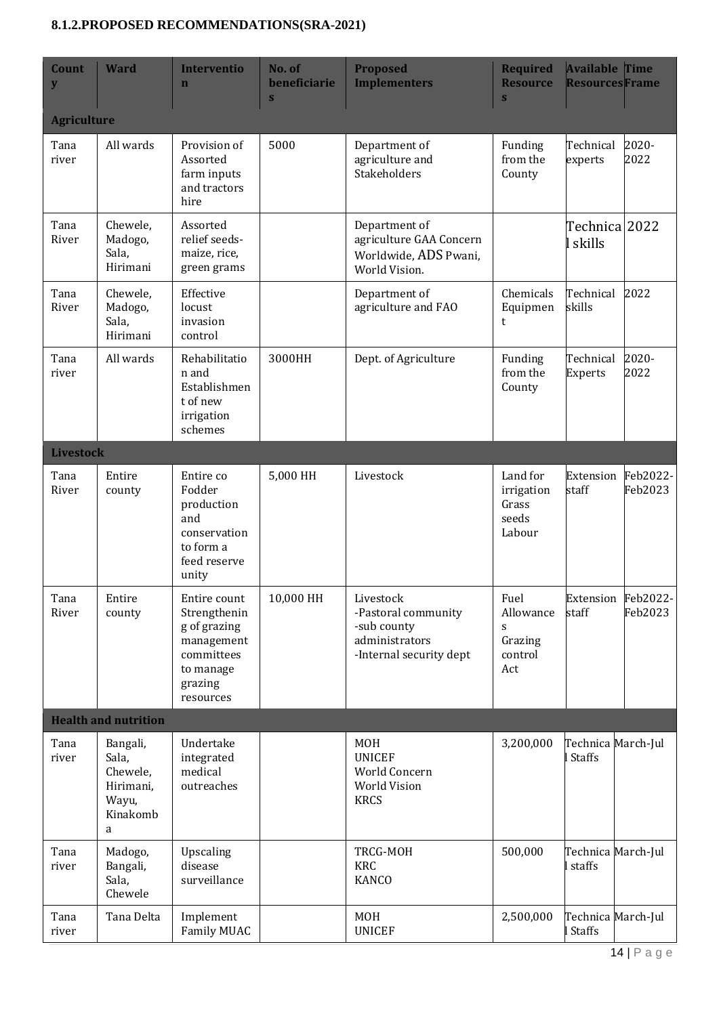## **8.1.2.PROPOSED RECOMMENDATIONS(SRA-2021)**

| Count<br>${\bf y}$ | <b>Ward</b>                                                          | <b>Interventio</b><br>$\mathbf n$                                                                             | No. of<br>beneficiarie<br>S | <b>Proposed</b><br><b>Implementers</b>                                                       | <b>Required</b><br><b>Resource</b><br>$\mathbf{s}$  | <b>Available Time</b><br><b>ResourcesFrame</b> |                     |  |  |
|--------------------|----------------------------------------------------------------------|---------------------------------------------------------------------------------------------------------------|-----------------------------|----------------------------------------------------------------------------------------------|-----------------------------------------------------|------------------------------------------------|---------------------|--|--|
| <b>Agriculture</b> |                                                                      |                                                                                                               |                             |                                                                                              |                                                     |                                                |                     |  |  |
| Tana<br>river      | All wards                                                            | Provision of<br>Assorted<br>farm inputs<br>and tractors<br>hire                                               | 5000                        | Department of<br>agriculture and<br>Stakeholders                                             | Funding<br>from the<br>County                       | Technical<br>experts                           | 2020-<br>2022       |  |  |
| Tana<br>River      | Chewele,<br>Madogo,<br>Sala,<br>Hirimani                             | Assorted<br>relief seeds-<br>maize, rice,<br>green grams                                                      |                             | Department of<br>agriculture GAA Concern<br>Worldwide, ADS Pwani,<br>World Vision.           |                                                     | Technica 2022<br>l skills                      |                     |  |  |
| Tana<br>River      | Chewele,<br>Madogo,<br>Sala,<br>Hirimani                             | Effective<br>locust<br>invasion<br>control                                                                    |                             | Department of<br>agriculture and FAO                                                         | Chemicals<br>Equipmen<br>t                          | Technical<br>skills                            | 2022                |  |  |
| Tana<br>river      | All wards                                                            | Rehabilitatio<br>n and<br>Establishmen<br>t of new<br>irrigation<br>schemes                                   | 3000HH                      | Dept. of Agriculture                                                                         | Funding<br>from the<br>County                       | Technical<br><b>Experts</b>                    | 2020-<br>2022       |  |  |
| <b>Livestock</b>   |                                                                      |                                                                                                               |                             |                                                                                              |                                                     |                                                |                     |  |  |
| Tana<br>River      | Entire<br>county                                                     | Entire co<br>Fodder<br>production<br>and<br>conservation<br>to form a<br>feed reserve<br>unity                | 5,000 HH                    | Livestock                                                                                    | Land for<br>irrigation<br>Grass<br>seeds<br>Labour  | Extension<br>staff                             | Feb2022-<br>Feb2023 |  |  |
| Tana<br>River      | Entire<br>county                                                     | Entire count<br>Strengthenin<br>g of grazing<br>management<br>committees<br>to manage<br>grazing<br>resources | 10,000 HH                   | Livestock<br>-Pastoral community<br>-sub county<br>administrators<br>-Internal security dept | Fuel<br>Allowance<br>S<br>Grazing<br>control<br>Act | Extension<br>staff                             | Feb2022-<br>Feb2023 |  |  |
|                    | <b>Health and nutrition</b>                                          |                                                                                                               |                             |                                                                                              |                                                     |                                                |                     |  |  |
| Tana<br>river      | Bangali,<br>Sala,<br>Chewele,<br>Hirimani,<br>Wayu,<br>Kinakomb<br>a | Undertake<br>integrated<br>medical<br>outreaches                                                              |                             | <b>MOH</b><br><b>UNICEF</b><br>World Concern<br><b>World Vision</b><br><b>KRCS</b>           | 3,200,000                                           | Technica March-Jul<br>l Staffs                 |                     |  |  |
| Tana<br>river      | Madogo,<br>Bangali,<br>Sala,<br>Chewele                              | Upscaling<br>disease<br>surveillance                                                                          |                             | TRCG-MOH<br><b>KRC</b><br><b>KANCO</b>                                                       | 500,000                                             | Technica March-Jul<br>l staffs                 |                     |  |  |
| Tana<br>river      | Tana Delta                                                           | Implement<br>Family MUAC                                                                                      |                             | <b>MOH</b><br><b>UNICEF</b>                                                                  | 2,500,000                                           | Technica March-Jul<br>l Staffs                 |                     |  |  |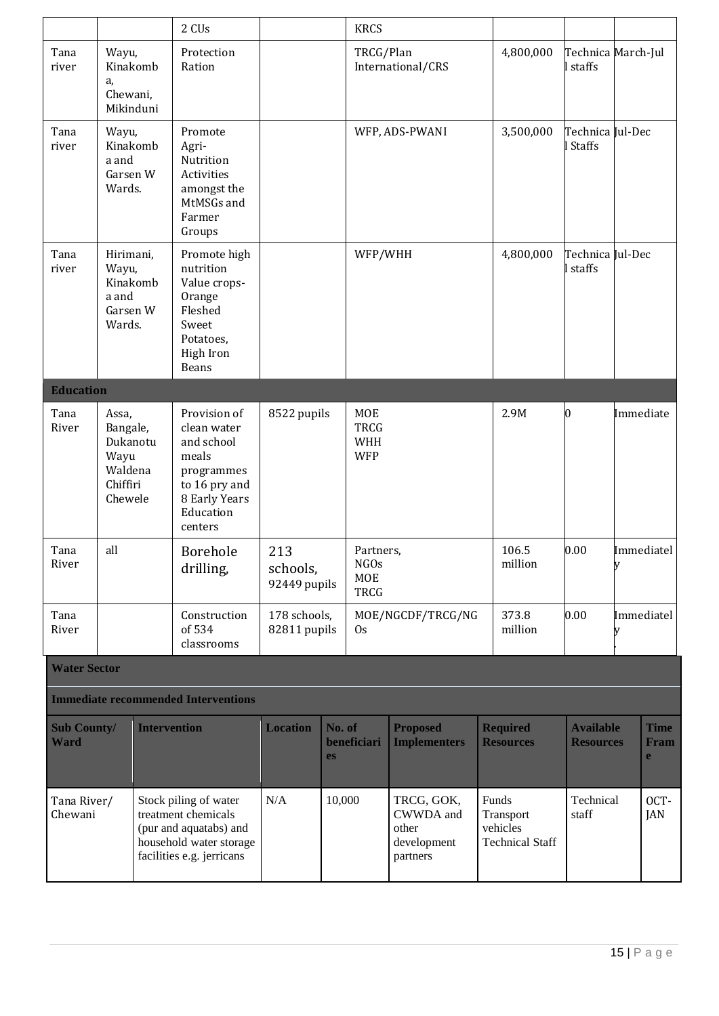|                                   |                                                                         |                       | 2 CUs                                                                                                                          |                              |                                                                       | <b>KRCS</b>                                    |                                                             |                                                          |                                      |            |                                     |
|-----------------------------------|-------------------------------------------------------------------------|-----------------------|--------------------------------------------------------------------------------------------------------------------------------|------------------------------|-----------------------------------------------------------------------|------------------------------------------------|-------------------------------------------------------------|----------------------------------------------------------|--------------------------------------|------------|-------------------------------------|
| Tana<br>river                     | Wayu,<br>a,<br>Chewani,                                                 | Kinakomb<br>Mikinduni | Protection<br>Ration                                                                                                           |                              |                                                                       | TRCG/Plan                                      | International/CRS                                           | 4,800,000                                                | Technica March-Jul<br>l staffs       |            |                                     |
| Tana<br>river                     | Wayu,<br>a and<br>Garsen W<br>Wards.                                    | Kinakomb              | Promote<br>Agri-<br>Nutrition<br>Activities<br>amongst the<br>MtMSGs and<br>Farmer<br>Groups                                   |                              | WFP, ADS-PWANI                                                        |                                                |                                                             | 3,500,000                                                | Technica Jul-Dec<br>I Staffs         |            |                                     |
| Tana<br>river                     | Hirimani,<br>Wayu,<br>a and<br>Garsen W<br>Wards.                       | Kinakomb              | Promote high<br>nutrition<br>Value crops-<br>Orange<br>Fleshed<br>Sweet<br>Potatoes,<br>High Iron<br><b>Beans</b>              |                              |                                                                       | WFP/WHH                                        |                                                             | 4,800,000                                                | Technica Jul-Dec<br>I staffs         |            |                                     |
| <b>Education</b>                  |                                                                         |                       |                                                                                                                                |                              |                                                                       |                                                |                                                             |                                                          |                                      |            |                                     |
| Tana<br>River                     | Assa,<br>Bangale,<br>Dukanotu<br>Wayu<br>Waldena<br>Chiffiri<br>Chewele |                       | Provision of<br>clean water<br>and school<br>meals<br>programmes<br>to 16 pry and<br>8 Early Years<br>Education<br>centers     | 8522 pupils                  |                                                                       | <b>MOE</b><br><b>TRCG</b><br>WHH<br><b>WFP</b> |                                                             | 2.9M                                                     | 0                                    |            | Immediate                           |
| Tana<br>River                     | all                                                                     |                       | Borehole<br>drilling,                                                                                                          | 213<br>schools,              | Partners,<br><b>NGOs</b><br><b>MOE</b><br>92449 pupils<br><b>TRCG</b> |                                                | 106.5<br>million                                            | 0.00                                                     | y                                    | Immediatel |                                     |
| Tana<br>River                     |                                                                         |                       | Construction<br>of 534<br>classrooms                                                                                           | 178 schools,<br>82811 pupils |                                                                       | MOE/NGCDF/TRCG/NG<br>0s                        |                                                             | 373.8<br>million                                         | 0.00                                 |            | Immediatel                          |
| <b>Water Sector</b>               |                                                                         |                       |                                                                                                                                |                              |                                                                       |                                                |                                                             |                                                          |                                      |            |                                     |
|                                   |                                                                         |                       | <b>Immediate recommended Interventions</b>                                                                                     |                              |                                                                       |                                                |                                                             |                                                          |                                      |            |                                     |
| <b>Sub County/</b><br><b>Ward</b> |                                                                         | <b>Intervention</b>   |                                                                                                                                | <b>Location</b>              | No. of<br><b>es</b>                                                   | beneficiari                                    | <b>Proposed</b><br><b>Implementers</b>                      | <b>Required</b><br><b>Resources</b>                      | <b>Available</b><br><b>Resources</b> |            | <b>Time</b><br>Fram<br>$\mathbf{e}$ |
| Tana River/<br>Chewani            |                                                                         |                       | Stock piling of water<br>treatment chemicals<br>(pur and aquatabs) and<br>household water storage<br>facilities e.g. jerricans | N/A                          | 10,000                                                                |                                                | TRCG, GOK,<br>CWWDA and<br>other<br>development<br>partners | Funds<br>Transport<br>vehicles<br><b>Technical Staff</b> | Technical<br>staff                   |            | OCT-<br>JAN                         |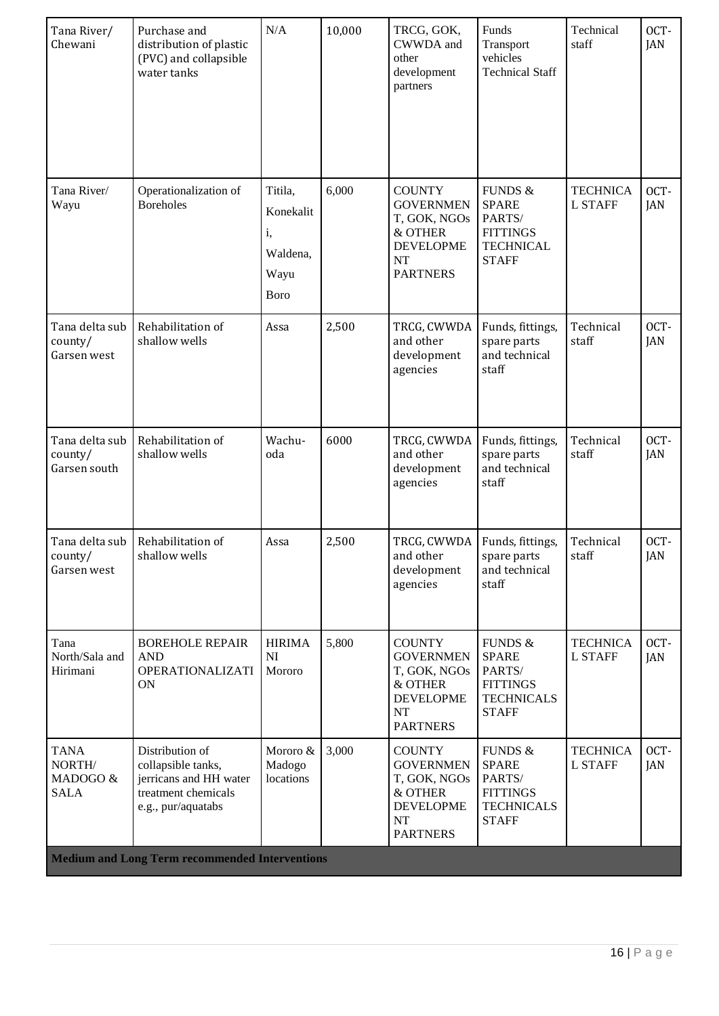| Tana River/<br>Chewani                           | Purchase and<br>distribution of plastic<br>(PVC) and collapsible<br>water tanks                              | N/A                                                           | 10,000 | TRCG, GOK,<br>CWWDA and<br>other<br>development<br>partners                                               | Funds<br>Transport<br>vehicles<br><b>Technical Staff</b>                                             | Technical<br>staff                | OCT-<br>JAN |
|--------------------------------------------------|--------------------------------------------------------------------------------------------------------------|---------------------------------------------------------------|--------|-----------------------------------------------------------------------------------------------------------|------------------------------------------------------------------------------------------------------|-----------------------------------|-------------|
| Tana River/<br>Wayu                              | Operationalization of<br><b>Boreholes</b>                                                                    | Titila,<br>Konekalit<br>i,<br>Waldena,<br>Wayu<br><b>Boro</b> | 6,000  | <b>COUNTY</b><br><b>GOVERNMEN</b><br>T, GOK, NGOs<br>& OTHER<br><b>DEVELOPME</b><br>NT<br><b>PARTNERS</b> | FUNDS &<br><b>SPARE</b><br>PARTS/<br><b>FITTINGS</b><br><b>TECHNICAL</b><br><b>STAFF</b>             | <b>TECHNICA</b><br><b>L STAFF</b> | OCT-<br>JAN |
| Tana delta sub<br>county/<br>Garsen west         | Rehabilitation of<br>shallow wells                                                                           | Assa                                                          | 2,500  | TRCG, CWWDA<br>and other<br>development<br>agencies                                                       | Funds, fittings,<br>spare parts<br>and technical<br>staff                                            | Technical<br>staff                | OCT-<br>JAN |
| Tana delta sub<br>county/<br>Garsen south        | Rehabilitation of<br>shallow wells                                                                           | Wachu-<br>oda                                                 | 6000   | TRCG, CWWDA<br>and other<br>development<br>agencies                                                       | Funds, fittings,<br>spare parts<br>and technical<br>staff                                            | Technical<br>staff                | OCT-<br>JAN |
| Tana delta sub<br>county/<br>Garsen west         | Rehabilitation of<br>shallow wells                                                                           | Assa                                                          | 2,500  | TRCG, CWWDA<br>and other<br>development<br>agencies                                                       | Funds, fittings,<br>spare parts<br>and technical<br>staff                                            | Technical<br>staff                | OCT-<br>JAN |
| Tana<br>North/Sala and<br>Hirimani               | <b>BOREHOLE REPAIR</b><br><b>AND</b><br><b>OPERATIONALIZATI</b><br><b>ON</b>                                 | <b>HIRIMA</b><br>NI<br>Mororo                                 | 5,800  | <b>COUNTY</b><br><b>GOVERNMEN</b><br>T, GOK, NGOs<br>& OTHER<br><b>DEVELOPME</b><br>NT<br><b>PARTNERS</b> | <b>FUNDS &amp;</b><br><b>SPARE</b><br>PARTS/<br><b>FITTINGS</b><br><b>TECHNICALS</b><br><b>STAFF</b> | <b>TECHNICA</b><br><b>L STAFF</b> | OCT-<br>JAN |
| <b>TANA</b><br>NORTH/<br>MADOGO &<br><b>SALA</b> | Distribution of<br>collapsible tanks,<br>jerricans and HH water<br>treatment chemicals<br>e.g., pur/aquatabs | Mororo &<br>Madogo<br>locations                               | 3,000  | <b>COUNTY</b><br><b>GOVERNMEN</b><br>T, GOK, NGOs<br>& OTHER<br><b>DEVELOPME</b><br>NT<br><b>PARTNERS</b> | <b>FUNDS &amp;</b><br><b>SPARE</b><br>PARTS/<br><b>FITTINGS</b><br><b>TECHNICALS</b><br><b>STAFF</b> | <b>TECHNICA</b><br><b>L STAFF</b> | OCT-<br>JAN |
|                                                  | <b>Medium and Long Term recommended Interventions</b>                                                        |                                                               |        |                                                                                                           |                                                                                                      |                                   |             |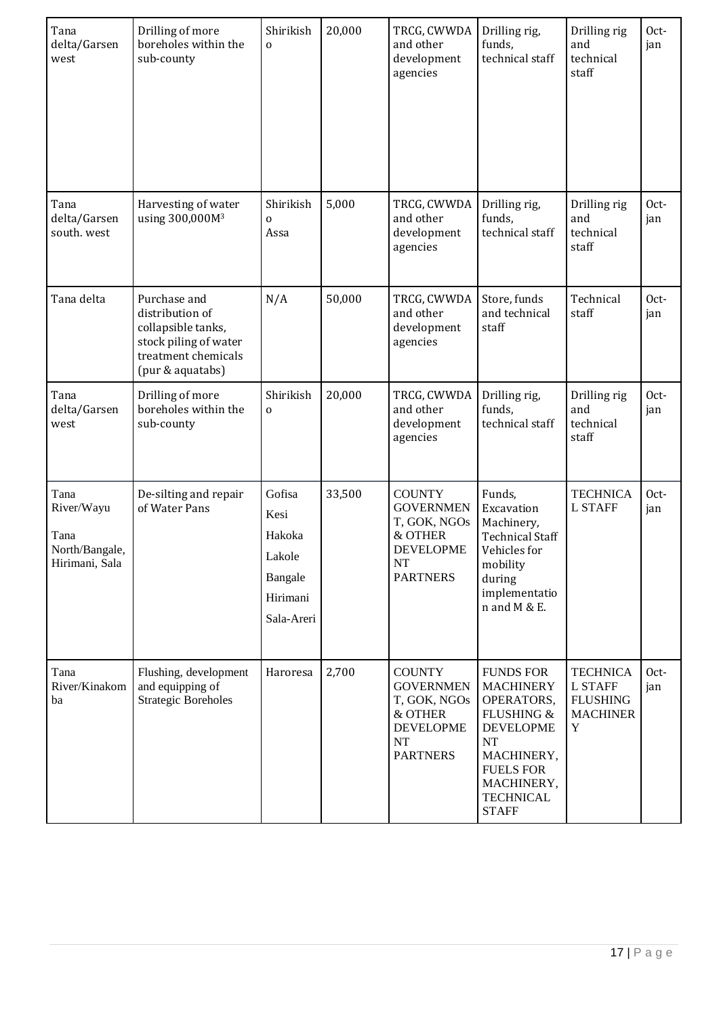| Tana<br>delta/Garsen<br>west                                   | Drilling of more<br>boreholes within the<br>sub-county                                                                    | Shirikish<br>0                                                          | 20,000 | TRCG, CWWDA<br>and other<br>development<br>agencies                                                             | Drilling rig,<br>funds,<br>technical staff                                                                                                                                     | Drilling rig<br>and<br>technical<br>staff                                    | Oct-<br>jan |
|----------------------------------------------------------------|---------------------------------------------------------------------------------------------------------------------------|-------------------------------------------------------------------------|--------|-----------------------------------------------------------------------------------------------------------------|--------------------------------------------------------------------------------------------------------------------------------------------------------------------------------|------------------------------------------------------------------------------|-------------|
| Tana<br>delta/Garsen<br>south. west                            | Harvesting of water<br>using 300,000M <sup>3</sup>                                                                        | Shirikish<br>0<br>Assa                                                  | 5,000  | TRCG, CWWDA<br>and other<br>development<br>agencies                                                             | Drilling rig,<br>funds,<br>technical staff                                                                                                                                     | Drilling rig<br>and<br>technical<br>staff                                    | Oct-<br>jan |
| Tana delta                                                     | Purchase and<br>distribution of<br>collapsible tanks,<br>stock piling of water<br>treatment chemicals<br>(pur & aquatabs) | N/A                                                                     | 50,000 | TRCG, CWWDA<br>and other<br>development<br>agencies                                                             | Store, funds<br>and technical<br>staff                                                                                                                                         | Technical<br>staff                                                           | Oct-<br>jan |
| Tana<br>delta/Garsen<br>west                                   | Drilling of more<br>boreholes within the<br>sub-county                                                                    | Shirikish<br>0                                                          | 20,000 | TRCG, CWWDA<br>and other<br>development<br>agencies                                                             | Drilling rig,<br>funds,<br>technical staff                                                                                                                                     | Drilling rig<br>and<br>technical<br>staff                                    | Oct-<br>jan |
| Tana<br>River/Wayu<br>Tana<br>North/Bangale,<br>Hirimani, Sala | De-silting and repair<br>of Water Pans                                                                                    | Gofisa<br>Kesi<br>Hakoka<br>Lakole<br>Bangale<br>Hirimani<br>Sala-Areri | 33,500 | <b>COUNTY</b><br><b>GOVERNMEN</b><br>T, GOK, NGOs<br>& OTHER<br><b>DEVELOPME</b><br>$\bf NT$<br><b>PARTNERS</b> | Funds,<br>Excavation<br>Machinery,<br><b>Technical Staff</b><br>Vehicles for<br>mobility<br>during<br>implementatio<br>n and M & E.                                            | <b>TECHNICA</b><br><b>L STAFF</b>                                            | Oct-<br>jan |
| Tana<br>River/Kinakom<br>ba                                    | Flushing, development<br>and equipping of<br><b>Strategic Boreholes</b>                                                   | Haroresa                                                                | 2,700  | <b>COUNTY</b><br><b>GOVERNMEN</b><br>T, GOK, NGOs<br>& OTHER<br><b>DEVELOPME</b><br>NT<br><b>PARTNERS</b>       | <b>FUNDS FOR</b><br><b>MACHINERY</b><br>OPERATORS,<br>FLUSHING &<br><b>DEVELOPME</b><br>NT<br>MACHINERY,<br><b>FUELS FOR</b><br>MACHINERY,<br><b>TECHNICAL</b><br><b>STAFF</b> | <b>TECHNICA</b><br><b>L STAFF</b><br><b>FLUSHING</b><br><b>MACHINER</b><br>Y | Oct-<br>jan |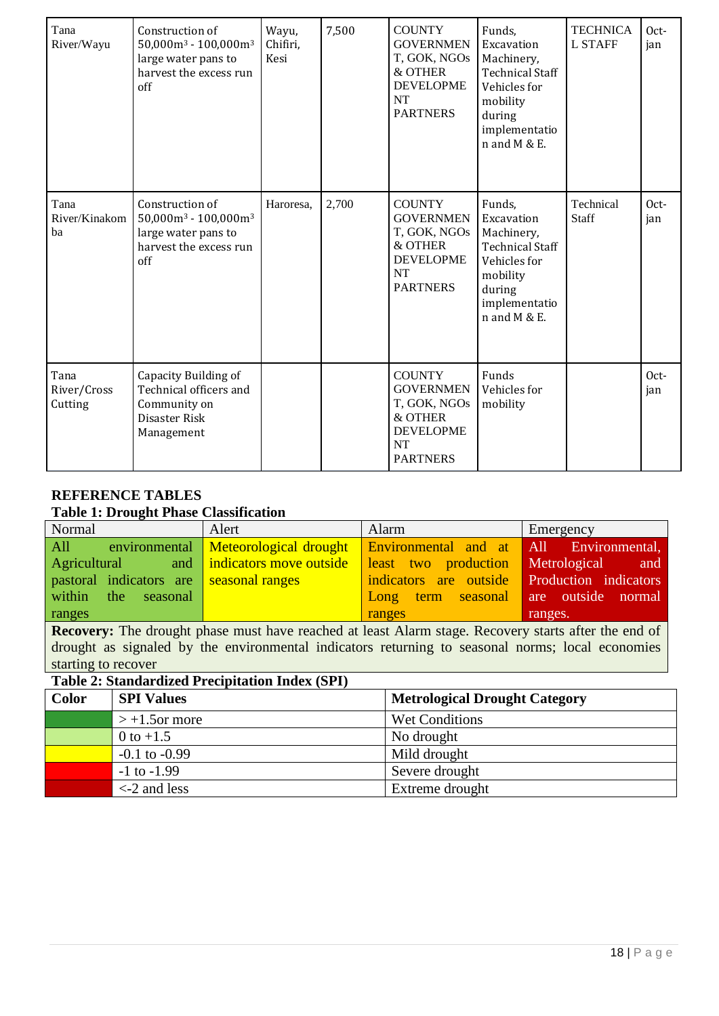| Tana<br>River/Wayu             | Construction of<br>$50,000$ m <sup>3</sup> - 100,000m <sup>3</sup><br>large water pans to<br>harvest the excess run<br>off         | Wayu,<br>Chifiri,<br>Kesi | 7,500 | <b>COUNTY</b><br><b>GOVERNMEN</b><br>T, GOK, NGOs<br>& OTHER<br><b>DEVELOPME</b><br><b>NT</b><br><b>PARTNERS</b> | Funds,<br>Excavation<br>Machinery,<br><b>Technical Staff</b><br>Vehicles for<br>mobility<br>during<br>implementatio<br>n and M & E. | <b>TECHNICA</b><br><b>L STAFF</b> | Oct-<br>jan |
|--------------------------------|------------------------------------------------------------------------------------------------------------------------------------|---------------------------|-------|------------------------------------------------------------------------------------------------------------------|-------------------------------------------------------------------------------------------------------------------------------------|-----------------------------------|-------------|
| Tana<br>River/Kinakom<br>ba    | Construction of<br>$50,000$ m <sup>3</sup> - 100,000m <sup>3</sup><br>large water pans to<br>harvest the excess run<br>$\alpha$ ff | Haroresa,                 | 2,700 | <b>COUNTY</b><br><b>GOVERNMEN</b><br>T, GOK, NGOs<br>& OTHER<br><b>DEVELOPME</b><br><b>NT</b><br><b>PARTNERS</b> | Funds,<br>Excavation<br>Machinery,<br><b>Technical Staff</b><br>Vehicles for<br>mobility<br>during<br>implementatio<br>n and M & E. | Technical<br>Staff                | Oct-<br>jan |
| Tana<br>River/Cross<br>Cutting | Capacity Building of<br>Technical officers and<br>Community on<br>Disaster Risk<br>Management                                      |                           |       | <b>COUNTY</b><br><b>GOVERNMEN</b><br>T, GOK, NGOs<br>& OTHER<br><b>DEVELOPME</b><br><b>NT</b><br><b>PARTNERS</b> | Funds<br>Vehicles for<br>mobility                                                                                                   |                                   | Oct-<br>jan |

## **REFERENCE TABLES**

### **Table 1: Drought Phase Classification**

| Normal |                     | Alert                                    | Alarm                                                                        | Emergency |
|--------|---------------------|------------------------------------------|------------------------------------------------------------------------------|-----------|
| All    |                     |                                          | environmental Meteorological drought Environmental and at All Environmental, |           |
|        |                     | Agricultural and indicators move outside | least two production Metrological and                                        |           |
|        |                     | pastoral indicators are seasonal ranges  | indicators are outside Production indicators                                 |           |
|        | within the seasonal |                                          | Long term seasonal are outside normal                                        |           |
| ranges |                     |                                          | ranges                                                                       | ranges.   |

**Recovery:** The drought phase must have reached at least Alarm stage. Recovery starts after the end of drought as signaled by the environmental indicators returning to seasonal norms; local economies starting to recover

# **Table 2: Standardized Precipitation Index (SPI)**

| Color | <b>SPI Values</b> | <b>Metrological Drought Category</b> |
|-------|-------------------|--------------------------------------|
|       | $> +1.5$ or more  | <b>Wet Conditions</b>                |
|       | 0 to $+1.5$       | No drought                           |
|       | $-0.1$ to $-0.99$ | Mild drought                         |
|       | $-1$ to $-1.99$   | Severe drought                       |
|       | $\leq$ 2 and less | Extreme drought                      |